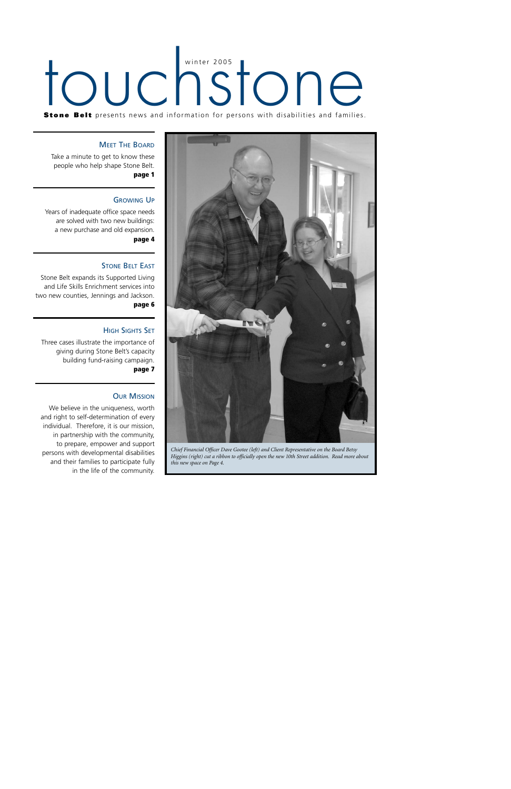# touchstone

**Stone Belt** presents news and information for persons with disabilities and families.

#### **MEET THE BOARD**

Take a minute to get to know these people who help shape Stone Belt. **page 1**

#### GROWING UP

Years of inadequate office space needs are solved with two new buildings: a new purchase and old expansion. **page 4**

#### **STONE BELT FAST**

Stone Belt expands its Supported Living and Life Skills Enrichment services into two new counties, Jennings and Jackson. **page 6**

#### HIGH SIGHTS SET

Three cases illustrate the importance of giving during Stone Belt's capacity building fund-raising campaign. **page 7**

#### **OUR MISSION**

We believe in the uniqueness, worth and right to self-determination of every individual. Therefore, it is our mission, in partnership with the community, to prepare, empower and support persons with developmental disabilities and their families to participate fully in the life of the community.



*Chief Financial Officer Dave Gootee (left) and Client Representative on the Board Betsy Higgins (right) cut a ribbon to officially open the new 10th Street addition. Read more about this new space on Page 4.*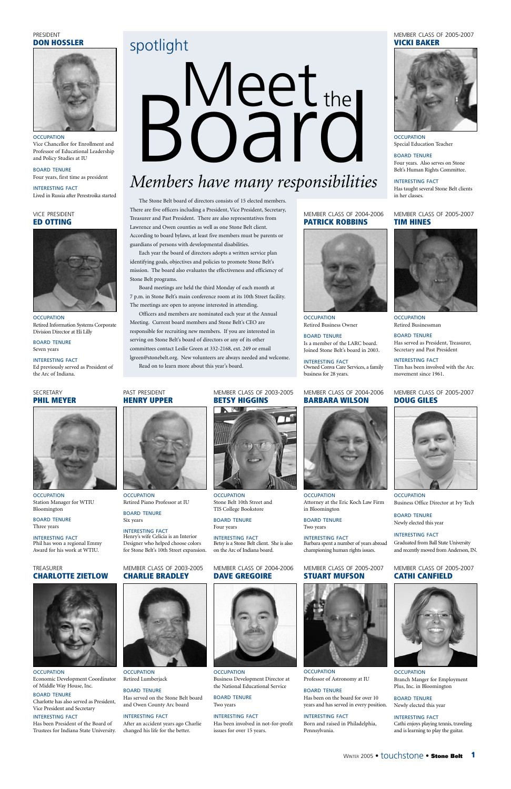Vice Chancellor for Enrollment and Professor of Educational Leadership and Policy Studies at IU

BOARD TENURE Four years, first time as president



**OCCUPATION** Retired Information Systems Corporate Division Director at Eli Lilly

INTERESTING FACT Lived in Russia after Perestroika started

#### PRESIDENT **DON HOSSLER**



**OCCUPATION** Station Manager for WTIU Bloomington

#### **OCCUPATION**

**OCCUPATION** Economic Development Coordinator of Middle Way House, Inc.

BOARD TENURE Seven years

INTERESTING FACT

Ed previously served as President of the Arc of Indiana.

#### VICE PRESIDENT **ED OTTING**

**OCCUPATION** Special Education Teacher

BOARD TENURE Three years

**OCCUPATION** Retired Businessman

INTERESTING FACT Phil has won a regional Emmy Award for his work at WTIU.

#### SECRETARY **PHIL MEYER**



**OCCUPATION** Branch Manger for Employment Plus, Inc. in Bloomington

#### BOARD TENURE

Charlotte has also served as President, Vice President and Secretary

#### INTERESTING FACT

**OCCUPATION** Retired Piano Professor at IU

Has been President of the Board of Trustees for Indiana State University.



TREASURER **CHARLOTTE ZIETLOW**

> **OCCUPATION** Retired Lumberjack

BOARD TENURE Four years. Also serves on Stone Belt's Human Rights Committee.

**OCCUPATION** Stone Belt 10th Street and TIS College Bookstore

INTERESTING FACT Has taught several Stone Belt clients in her classes.

#### MEMBER CLASS OF 2005-2007 **VICKI BAKER**



**OCCUPATION** Business Development Director at the National Educational Service

BOARD TENURE Has served as President, Treasurer, Secretary and Past President

**OCCUPATION** Retired Business Owner

> INTERESTING FACT Tim has been involved with the Arc movement since 1961.

#### MEMBER CLASS OF 2005-2007 **TIM HINES**



**OCCUPATION** Professor of Astronomy at IU

#### BOARD TENURE Newly elected this year

INTERESTING FACT Cathi enjoys playing tennis, traveling and is learning to play the guitar.

MEMBER CLASS OF 2005-2007 **CATHI CANFIELD**

BOARD TENURE Six years

INTERESTING FACT Henry's wife Celicia is an Interior Designer who helped choose colors for Stone Belt's 10th Street expansion.

PAST PRESIDENT **HENRY UPPER**



#### BOARD TENURE

Has served on the Stone Belt board and Owen County Arc board

#### INTERESTING FACT

After an accident years ago Charlie changed his life for the better.



MEMBER CLASS OF 2003-2005 **CHARLIE BRADLEY**

**OCCUPATION** Attorney at the Eric Koch Law Firm in Bloomington

BOARD TENURE Four years

INTERESTING FACT Betsy is a Stone Belt client. She is also on the Arc of Indiana board.

> WINTER 2005 • touchstone • **Stone Belt 1**



**OCCUPATION** Business Office Director at Ivy Tech

MEMBER CLASS OF 2003-2005 **BETSY HIGGINS**



BOARD TENURE Two years

#### INTERESTING FACT

Has been involved in not-for-profit issues for over 15 years.



MEMBER CLASS OF 2004-2006 **DAVE GREGOIRE**



BOARD TENURE Is a member of the LARC board. Joined Stone Belt's board in 2003.

INTERESTING FACT Owned Conva Care Services, a family business for 28 years.

#### MEMBER CLASS OF 2004-2006 **PATRICK ROBBINS**



#### BOARD TENURE

Has been on the board for over 10 years and has served in every position.

#### INTERESTING FACT

Born and raised in Philadelphia, Pennsylvania.



MEMBER CLASS OF 2005-2007 **STUART MUFSON**

The Stone Belt board of directors consists of 15 elected members. There are five officers including a President, Vice President, Secretary, Treasurer and Past President. There are also representatives from Lawrence and Owen counties as well as one Stone Belt client. According to board bylaws, at least five members must be parents or guardians of persons with developmental disabilities.

Each year the board of directors adopts a written service plan identifying goals, objectives and policies to promote Stone Belt's mission. The board also evaluates the effectiveness and efficiency of Stone Belt programs.

Board meetings are held the third Monday of each month at 7 p.m. in Stone Belt's main conference room at its 10th Street facility. The meetings are open to anyone interested in attending.

Officers and members are nominated each year at the Annual Meeting. Current board members and Stone Belt's CEO are responsible for recruiting new members. If you are interested in serving on Stone Belt's board of directors or any of its other committees contact Leslie Green at 332-2168, ext. 249 or email lgreen@stonebelt.org. New volunteers are always needed and welcome. Read on to learn more about this year's board.

> BOARD TENURE Two years

INTERESTING FACT Barbara spent a number of years abroad championing human rights issues.

#### MEMBER CLASS OF 2004-2006 **BARBARA WILSON**



## spotlight

## *Members have many responsibilities*



BOARD TENURE Newly elected this year

INTERESTING FACT Graduated from Ball State University and recently moved from Anderson, IN.

#### MEMBER CLASS OF 2005-2007 **DOUG GILES**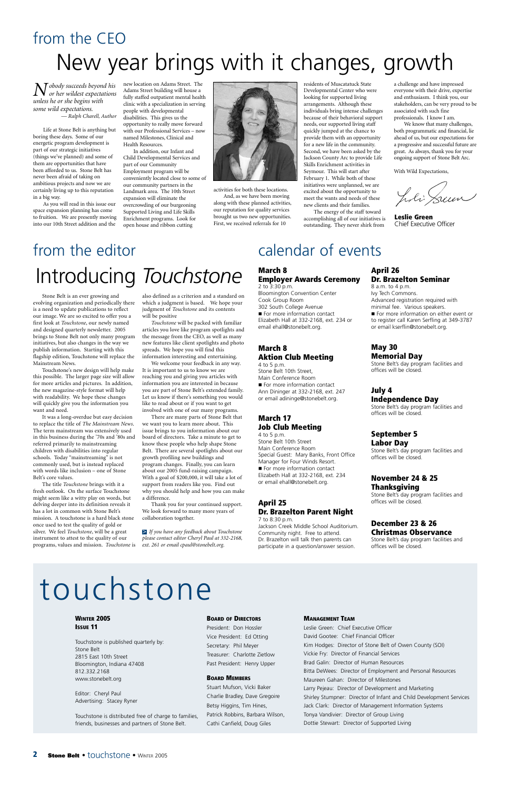*Nobody succeeds beyond his or her wildest expectations unless he or she begins with some wild expectations. — Ralph Charell, Author*

Life at Stone Belt is anything but boring these days. Some of our energetic program development is part of our strategic initiatives (things we've planned) and some of them are opportunities that have been afforded to us. Stone Belt has never been afraid of taking on ambitious projects and now we are certainly living up to this reputation in a big way.

As you will read in this issue our space expansion planning has come to fruition. We are presently moving into our 10th Street addition and the

new location on Adams Street. The Adams Street building will house a fully staffed outpatient mental health clinic with a specialization in serving people with developmental disabilities. This gives us the opportunity to really move forward with our Professional Services – now named Milestones, Clinical and Health Resources.

In addition, our Infant and Child Developmental Services and part of our Community Employment program will be conveniently located close to some of our community partners in the Landmark area. The 10th Street expansion will eliminate the overcrowding of our burgeoning Supported Living and Life Skills Enrichment programs. Look for open house and ribbon cutting



activities for both these locations. And, as we have been moving along with these planned activities, our reputation for quality services brought us two new opportunities. First, we received referrals for 10

residents of Muscatatuck State Developmental Center who were looking for supported living arrangements. Although these individuals bring intense challenges because of their behavioral support needs, our supported living staff quickly jumped at the chance to provide them with an opportunity for a new life in the community. Second, we have been asked by the Jackson County Arc to provide Life Skills Enrichment activities in Seymour. This will start after February 1. While both of these initiatives were unplanned, we are excited about the opportunity to meet the wants and needs of these new clients and their families.

The energy of the staff toward accomplishing all of our initiatives is outstanding. They never shirk from

a challenge and have impressed everyone with their drive, expertise and enthusiasm. I think you, our stakeholders, can be very proud to be associated with such fine professionals. I know I am.

We know that many challenges, both programmatic and financial, lie ahead of us, but our expectations for a progressive and successful future are great. As always, thank you for your ongoing support of Stone Belt Arc.

With Wild Expectations,

J. li Seun

#### **MANAGEMENT TEAM**

Leslie Green: Chief Executive Officer David Gootee: Chief Financial Officer Kim Hodges: Director of Stone Belt of Owen County (SOI) Vickie Fry: Director of Financial Services Brad Galin: Director of Human Resources Bitta DeWees: Director of Employment and Personal Resources Maureen Gahan: Director of Milestones Larry Pejeau: Director of Development and Marketing Shirley Stumpner: Director of Infant and Child Development Services Jack Clark: Director of Management Information Systems Tonya Vandivier: Director of Group Living Dottie Stewart: Director of Supported Living

#### **2 Stone Belt • touchstone • WINTER 2005**

#### **WINTER 2005 ISSUE 11**

Touchstone is published quarterly by: Stone Belt 2815 East 10th Street Bloomington, Indiana 47408 812.332.2168 www.stonebelt.org

Editor: Cheryl Paul Advertising: Stacey Ryner

Touchstone is distributed free of charge to families, friends, businesses and partners of Stone Belt.

#### **BOARD OF DIRECTORS**

President: Don Hossler Vice President: Ed Otting Secretary: Phil Meyer Treasurer: Charlotte Zietlow Past President: Henry Upper

#### **BOARD MEMBERS**

Stuart Mufson, Vicki Baker Charlie Bradley, Dave Gregoire Betsy Higgins, Tim Hines, Patrick Robbins, Barbara Wilson, Cathi Canfield, Doug Giles

## touchstone

**Leslie Green** Chief Executive Officer

## from the CEO New year brings with it changes, growth

Stone Belt is an ever growing and evolving organization and periodically there is a need to update publications to reflect our image. We are so excited to offer you a first look at *Touchstone*, our newly named and designed quarterly newsletter. 2005 brings to Stone Belt not only many program initiatives, but also changes in the way we publish information. Starting with this flagship edition, Touchstone will replace the Mainstream News.

Touchstone's new design will help make this possible. The larger page size will allow for more articles and pictures. In addition, the new magazine-style format will help with readability. We hope these changes will quickly give you the information you want and need.

It was a long-overdue but easy decision to replace the title of *The Mainstream News*. The term mainstream was extensively used in this business during the '70s and '80s and referred primarily to mainstreaming children with disabilities into regular schools. Today "mainstreaming" is not commonly used, but is instead replaced with words like inclusion – one of Stone Belt's core values.

The title *Touchstone* brings with it a fresh outlook. On the surface Touchstone might seem like a witty play on words, but delving deeper into its definition reveals it has a lot in common with Stone Belt's mission. A touchstone is a hard black stone once used to test the quality of gold or silver. We feel *Touchstone*, will be a great instrument to attest to the quality of our programs, values and mission. *Touchstone* is

## from the editor Introducing *Touchstone*

also defined as a criterion and a standard on which a judgment is based. We hope your judgment of *Touchstone* and its contents will be positive

*Touchstone* will be packed with familiar articles you love like program spotlights and the message from the CEO, as well as many new features like client spotlights and photo spreads. We hope you will find this information interesting and entertaining.

We welcome your feedback in any way. It is important to us to know we are reaching you and giving you articles with information you are interested in because you are part of Stone Belt's extended family. Let us know if there's something you would like to read about or if you want to get involved with one of our many programs.

There are many parts of Stone Belt that we want you to learn more about. This issue brings to you information about our board of directors. Take a minute to get to know these people who help shape Stone Belt. There are several spotlights about our growth profiling new buildings and program changes. Finally, you can learn about our 2005 fund-raising campaign. With a goal of \$200,000, it will take a lot of support from readers like you. Find out why you should help and how you can make a difference.

Thank you for your continued support. We look forward to many more years of collaboration together.

*If you have any feedback about Touchstone* >*please contact editor Cheryl Paul at 332-2168, ext. 261 or email cpaul@stonebelt.org.*

## calendar of events

#### **March 8 Employer Awards Ceremony** 2 to 3:30 p.m.

Bloomington Convention Center Cook Group Room 302 South College Avenue For more information contact Elizabeth Hall at 332-2168, ext. 234 or email ehall@stonebelt.org.

#### **March 8 Aktion Club Meeting**

4 to 5 p.m. Stone Belt 10th Street, Main Conference Room For more information contact Ann Dininger at 332-2168, ext. 247 or email adininge@stonebelt.org.

#### **March 17 Job Club Meeting**

4 to 5 p.m. Stone Belt 10th Street Main Conference Room Special Guest: Mary Banks, Front Office Manager for Four Winds Resort. For more information contact Elizabeth Hall at 332-2168, ext. 234 or email ehall@stonebelt.org.

#### **April 25 Dr. Brazelton Parent Night** 7 to 8:30 p.m.

Jackson Creek Middle School Auditorium. Community night. Free to attend. Dr. Brazelton will talk then parents can participate in a question/answer session.

#### **April 26 Dr. Brazelton Seminar**

8 a.m. to 4 p.m. Ivy Tech Commons. Advanced registration required with minimal fee. Various speakers. For more information on either event or to register call Karen Serfling at 349-3787 or email kserflin@stonebelt.org.

#### **May 30 Memorial Day**

Stone Belt's day program facilities and offices will be closed.

#### **July 4**

**Independence Day** Stone Belt's day program facilities and offices will be closed.

#### **September 5 Labor Day**

Stone Belt's day program facilities and offices will be closed.

#### **November 24 & 25 Thanksgiving**

Stone Belt's day program facilities and offices will be closed.

#### **December 23 & 26 Christmas Observance**

Stone Belt's day program facilities and offices will be closed.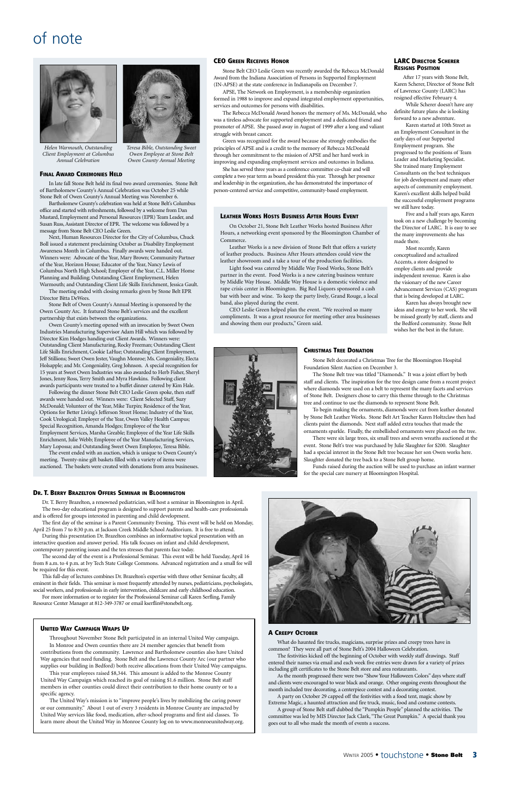### of note

#### **A CREEPY OCTOBER**

What do haunted fire trucks, magicians, surprise prizes and creepy trees have in common? They were all part of Stone Belt's 2004 Halloween Celebration.

The festivities kicked off the beginning of October with weekly staff drawings. Staff entered their names via email and each week five entries were drawn for a variety of prizes including gift certificates to the Stone Belt store and area restaurants.

As the month progressed there were two "Show Your Halloween Colors" days where staff and clients were encouraged to wear black and orange. Other ongoing events throughout the month included tree decorating, a centerpiece contest and a decorating contest.

A party on October 29 capped off the festivities with a food tent, magic show by Extreme Magic, a haunted attraction and fire truck, music, food and costume contests.

A group of Stone Belt staff dubbed the "Pumpkin People" planned the activities. The committee was led by MIS Director Jack Clark, "The Great Pumpkin." A special thank you goes out to all who made the month of events a success.

#### **DR. T. BERRY BRAZELTON OFFERS SEMINAR IN BLOOMINGTON**

Dr. T. Berry Brazelton, a renowned pediatrician, will host a seminar in Bloomington in April. The two-day educational program is designed to support parents and health-care professionals and is offered for groups interested in parenting and child development.

The first day of the seminar is a Parent Community Evening. This event will be held on Monday, April 25 from 7 to 8:30 p.m. at Jackson Creek Middle School Auditorium. It is free to attend.

During this presentation Dr. Brazelton combines an informative topical presentation with an interactive question and answer period. His talk focuses on infant and child development, contemporary parenting issues and the ten stresses that parents face today.

The second day of the event is a Professional Seminar. This event will be held Tuesday, April 16 from 8 a.m. to 4 p.m. at Ivy Tech State College Commons. Advanced registration and a small fee will be required for this event.

This full-day of lectures combines Dr. Brazelton's expertise with three other Seminar faculty, all



eminent in their fields. This seminar is most frequently attended by nurses, pediatricians, psychologists, social workers, and professionals in early intervention, childcare and early childhood education. For more information or to register for the Professional Seminar call Karen Serfling, Family Resource Center Manager at 812-349-3787 or email kserflin@stonebelt.org.

#### **UNITED WAY CAMPAIGN WRAPS UP**

Throughout November Stone Belt participated in an internal United Way campaign. In Monroe and Owen counties there are 24 member agencies that benefit from contributions from the community. Lawrence and Bartholomew counties also have United Way agencies that need funding. Stone Belt and the Lawrence County Arc (our partner who supplies our building in Bedford) both receive allocations from their United Way campaigns.

This year employees raised \$8,344. This amount is added to the Monroe County United Way Campaign which reached its goal of raising \$1.6 million. Stone Belt staff members in other counties could direct their contribution to their home county or to a specific agency.

The United Way's mission is to "improve people's lives by mobilizing the caring power or our community." About 1 out of every 3 residents in Monroe County are impacted by United Way services like food, medication, after-school programs and first aid classes. To learn more about the United Way in Monroe County log on to www.monroeunitedway.org.



After 17 years with Stone Belt, Karen Scherer, Director of Stone Belt of Lawrence County (LARC) has resigned effective February 4.

While Scherer doesn't have any definite future plans she is looking forward to a new adventure.

Karen started at 10th Street as an Employment Consultant in the early days of our Supported Employment program. She progressed to the positions of Team Leader and Marketing Specialist. She trained many Employment Consultants on the best techniques for job development and many other aspects of community employment. Karen's excellent skills helped build the successful employment programs we still have today.

Five and a half years ago, Karen took on a new challenge by becoming the Director of LARC. It is easy to see the many improvements she has made there.

Most recently, Karen conceptualized and actualized A¢¢ents, a store designed to employ clients and provide independent revenue. Karen is also the visionary of the new Career Advancement Services (CAS) program that is being developed at LARC.

Karen has always brought new ideas and energy to her work. She will be missed greatly by staff, clients and the Bedford community. Stone Belt wishes her the best in the future.



#### **CHRISTMAS TREE DONATION**

Stone Belt decorated a Christmas Tree for the Bloomington Hospital Foundation Silent Auction on December 3.

The Stone Belt tree was titled "Diamonds." It was a joint effort by both staff and clients. The inspiration for the tree design came from a recent project where diamonds were used on a belt to represent the many facets and services of Stone Belt. Designers chose to carry this theme through to the Christmas tree and continue to use the diamonds to represent Stone Belt.

To begin making the ornaments, diamonds were cut from leather donated by Stone Belt Leather Works. Stone Belt Art Teacher Karen Holtzclaw then had clients paint the diamonds. Next staff added extra touches that made the ornaments sparkle. Finally, the embellished ornaments were placed on the tree.

There were six large trees, six small trees and seven wreaths auctioned at the event. Stone Belt's tree was purchased by Julie Slaughter for \$200. Slaughter had a special interest in the Stone Belt tree because her son Owen works here. Slaughter donated the tree back to a Stone Belt group home.

Funds raised during the auction will be used to purchase an infant warmer for the special care nursery at Bloomington Hospital.

#### **CEO GREEN RECEIVES HONOR**

Stone Belt CEO Leslie Green was recently awarded the Rebecca McDonald Award from the Indiana Association of Persons in Supported Employment (IN-APSE) at the state conference in Indianapolis on December 7.

APSE, The Network on Employment, is a membership organization formed in 1988 to improve and expand integrated employment opportunities, services and outcomes for persons with disabilities.

The Rebecca McDonald Award honors the memory of Ms. McDonald, who was a tireless advocate for supported employment and a dedicated friend and promoter of APSE. She passed away in August of 1999 after a long and valiant struggle with breast cancer.

Green was recognized for the award because she strongly embodies the principles of APSE and is a credit to the memory of Rebecca McDonald through her commitment to the mission of APSE and her hard work in improving and expanding employment services and outcomes in Indiana.

She has served three years as a conference committee co-chair and will complete a two year term as board president this year. Through her presence and leadership in the organization, she has demonstrated the importance of person-centered service and competitive, community-based employment.

#### **LEATHER WORKS HOSTS BUSINESS AFTER HOURS EVENT**

On October 21, Stone Belt Leather Works hosted Business After Hours, a networking event sponsored by the Bloomington Chamber of Commerce.

Leather Works is a new division of Stone Belt that offers a variety of leather products. Business After Hours attendees could view the leather showroom and a take a tour of the production facilities.

Light food was catered by Middle Way Food Works, Stone Belt's partner in the event. Food Works is a new catering business venture by Middle Way House. Middle Way House is a domestic violence and rape crisis center in Bloomington. Big Red Liquors sponsored a cash bar with beer and wine. To keep the party lively, Grand Rouge, a local band, also played during the event.

CEO Leslie Green helped plan the event. "We received so many compliments. It was a great resource for meeting other area businesses and showing them our products," Green said.

#### **FINAL AWARD CEREMONIES HELD**

In late fall Stone Belt held its final two award ceremonies. Stone Belt of Bartholomew County's Annual Celebration was October 25 while Stone Belt of Owen County's Annual Meeting was November 6.

Bartholomew County's celebration was held at Stone Belt's Columbus office and started with refreshments, followed by a welcome from Dan Mustard, Employment and Personal Resources (EPR) Team Leader, and Susan Russ, Assistant Director of EPR. The welcome was followed by a message from Stone Belt CEO Leslie Green.

Next, Human Resources Director for the City of Columbus, Chuck Boll issued a statement proclaiming October as Disability Employment Awareness Month in Columbus. Finally awards were handed out. Winners were: Advocate of the Year, Mary Brown; Community Partner of the Year, Horizon House; Educator of the Year, Nancy Lewis of Columbus North High School; Employer of the Year, C.L. Miller Home Planning and Building; Outstanding Client Employment, Helen Warmouth; and Outstanding Client Life Skills Enrichment, Jessica Gault.

The meeting ended with closing remarks given by Stone Belt EPR Director Bitta DeWees.

Stone Belt of Owen County's Annual Meeting is sponsored by the Owen County Arc. It featured Stone Belt's services and the excellent partnership that exists between the organizations.

Owen County's meeting opened with an invocation by Sweet Owen Industries Manufacturing Supervisor Adam Hill which was followed by Director Kim Hodges handing out Client Awards. Winners were: Outstanding Client Manufacturing, Rocky Freeman; Outstanding Client Life Skills Enrichment, Cookie LaHue; Outstanding Client Employment, Jeff Stillions; Sweet Owen Jester, Vaughn Monroe; Ms. Congeniality, Electa Holsapple; and Mr. Congeniality, Greg Johnson. A special recognition for 15 years at Sweet Owen Industries was also awarded to Herb Fisher, Sheryl Jones, Jenny Ross, Terry Smith and Myra Hawkins. Following client awards participants were treated to a buffet dinner catered by Kim Hale.

Following the dinner Stone Belt CEO Leslie Green spoke, then staff awards were handed out. Winners were: Client Selected Staff, Suzy McDonald; Volunteer of the Year, Mike Turpin; Residence of the Year, Options for Better Living's Jefferson Street Home; Industry of the Year, Cook Urological; Employer of the Year, Owen Valley Health Campus; Special Recognition, Amanda Hodges; Employee of the Year Employment Services, Marsha Greable; Employee of the Year Life Skills Enrichment, Julie Webb; Employee of the Year Manufacturing Services, Mary Lopossa; and Outstanding Sweet Owen Employee, Teresa Bible.

The event ended with an auction, which is unique to Owen County's meeting. Twenty-nine gift baskets filled with a variety of items were auctioned. The baskets were created with donations from area businesses.



*Helen Warmouth, Outstanding Client Employment at Columbus Annual Celebration*

*Teresa Bible, Outstanding Sweet Owen Employee at Stone Belt Owen County Annual Meeting*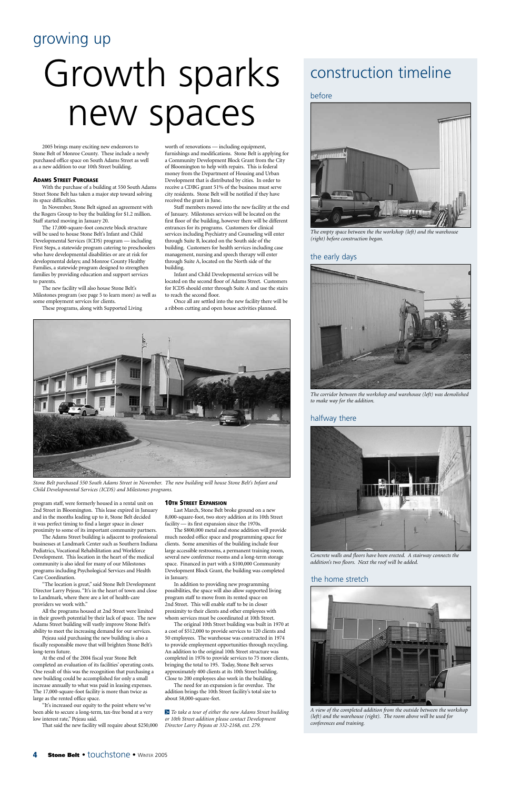### growing up

## Growth sparks new spaces

2005 brings many exciting new endeavors to Stone Belt of Monroe County. These include a newly purchased office space on South Adams Street as well as a new addition to our 10th Street building.

#### **ADAMS STREET PURCHASE**

With the purchase of a building at 550 South Adams Street Stone Belt has taken a major step toward solving its space difficulties.

In November, Stone Belt signed an agreement with the Rogers Group to buy the building for \$1.2 million. Staff started moving in January 20.

The 17,000-square-foot concrete block structure will be used to house Stone Belt's Infant and Child Developmental Services (ICDS) program — including First Steps, a statewide program catering to preschoolers who have developmental disabilities or are at risk for developmental delays; and Monroe County Healthy Families, a statewide program designed to strengthen families by providing education and support services to parents.

The new facility will also house Stone Belt's Milestones program (see page 5 to learn more) as well as some employment services for clients.

These programs, along with Supported Living

program staff, were formerly housed in a rental unit on 2nd Street in Bloomington. This lease expired in January and in the months leading up to it, Stone Belt decided it was perfect timing to find a larger space in closer proximity to some of its important community partners.

The Adams Street building is adjacent to professional businesses at Landmark Center such as Southern Indiana Pediatrics, Vocational Rehabilitation and Workforce Development. This location in the heart of the medical community is also ideal for many of our Milestones programs including Psychological Services and Health Care Coordination.

"The location is great," said Stone Belt Development Director Larry Pejeau. "It's in the heart of town and close to Landmark, where there are a lot of health-care providers we work with."

All the programs housed at 2nd Street were limited in their growth potential by their lack of space. The new Adams Street building will vastly improve Stone Belt's ability to meet the increasing demand for our services.

Pejeau said purchasing the new building is also a fiscally responsible move that will brighten Stone Belt's long-term future.

At the end of the 2004 fiscal year Stone Belt completed an evaluation of its facilities' operating costs. One result of this was the recognition that purchasing a new building could be accomplished for only a small increase annually to what was paid in leasing expenses. The 17,000-square-foot facility is more than twice as large as the rented office space.

"It's increased our equity to the point where we've been able to secure a long-term, tax-free bond at a very low interest rate," Pejeau said.

That said the new facility will require about \$250,000

worth of renovations — including equipment, furnishings and modifications. Stone Belt is applying for a Community Development Block Grant from the City of Bloomington to help with repairs. This is federal money from the Department of Housing and Urban Development that is distributed by cities. In order to receive a CDBG grant 51% of the business must serve city residents. Stone Belt will be notified if they have received the grant in June.

Staff members moved into the new facility at the end of January. Milestones services will be located on the first floor of the building, however there will be different entrances for its programs. Customers for clinical services including Psychiatry and Counseling will enter through Suite B, located on the South side of the building. Customers for health services including case management, nursing and speech therapy will enter through Suite A, located on the North side of the building.

Infant and Child Developmental services will be located on the second floor of Adams Street. Customers for ICDS should enter through Suite A and use the stairs to reach the second floor.

Once all are settled into the new facility there will be a ribbon cutting and open house activities planned.

#### **10TH STREET EXPANSION**

Last March, Stone Belt broke ground on a new 8,000-square-foot, two story addition at its 10th Street facility — its first expansion since the 1970s.

The \$800,000 metal and stone addition will provide much needed office space and programming space for clients. Some amenities of the building include four large accessible restrooms, a permanent training room, several new conference rooms and a long-term storage space. Financed in part with a \$100,000 Community Development Block Grant, the building was completed in January.

In addition to providing new programming possibilities, the space will also allow supported living program staff to move from its rented space on 2nd Street. This will enable staff to be in closer proximity to their clients and other employees with whom services must be coordinated at 10th Street.

The original 10th Street building was built in 1970 at a cost of \$512,000 to provide services to 120 clients and 50 employees. The warehouse was constructed in 1974 to provide employment opportunities through recycling. An addition to the original 10th Street structure was completed in 1976 to provide services to 75 more clients, bringing the total to 195. Today, Stone Belt serves approximately 400 clients at its 10th Street building. Close to 200 employees also work in the building.

The need for an expansion is far overdue. The addition brings the 10th Street facility's total size to about 58,000-square-feet.

*To take a tour of either the new Adams Street building* >*or 10th Street addition please contact Development Director Larry Pejeau at 332-2168, ext. 279.*

### construction timeline

#### before



*The empty space between the the workshop (left) and the warehouse (right) before construction began.*



*The corridor between the workshop and warehouse (left) was demolished to make way for the addition.*

#### the early days

#### halfway there



*Concrete walls and floors have been erected. A stairway connects the addition's two floors. Next the roof will be added.*

#### the home stretch



*A view of the completed addition from the outside between the workshop (left) and the warehouse (right). The room above will be used for conferences and training.*

#### **Stone Belt • touchstone • WINTER 2005**



*Stone Belt purchased 550 South Adams Street in November. The new building will house Stone Belt's Infant and Child Developmental Services (ICDS) and Milestones programs.*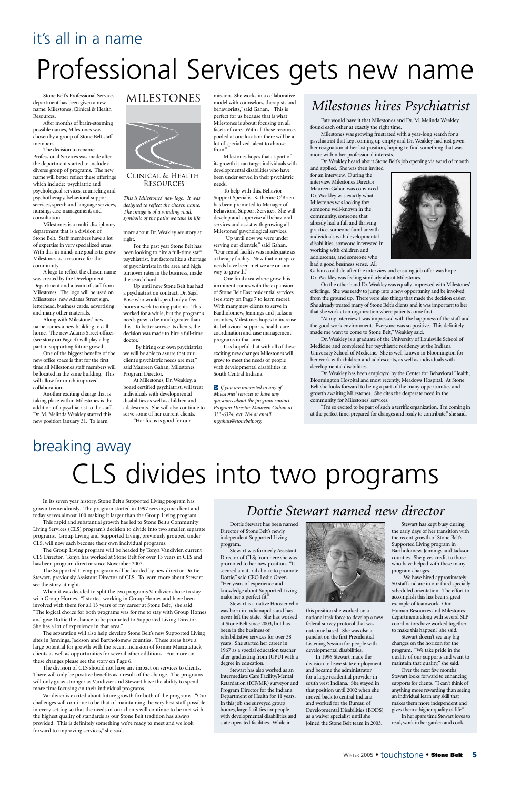Stone Belt's Professional Services department has been given a new name: Milestones, Clinical & Health Resources.

After months of brain-storming possible names, Milestones was chosen by a group of Stone Belt staff members.

The decision to rename Professional Services was made after the department started to include a diverse group of programs. The new name will better reflect these offerings which include: psychiatric and psychological services, counseling and psychotherapy, behavioral support services, speech and language services, nursing, case management, and consultation.

Milestones is a multi-disciplinary department that is a division of Stone Belt. Staff members have a lot of expertise in very specialized areas. With this in mind, one goal is to grow Milestones as a resource for the community.

A logo to reflect the chosen name was created by the Development Department and a team of staff from Milestones. The logo will be used on Milestones' new Adams Street sign, letterhead, business cards, advertising and many other materials.

Along with Milestones' new name comes a new building to call home. The new Adams Street offices (see story on Page 4) will play a big part in supporting future growth.

One of the biggest benefits of the new office space is that for the first time all Milestones staff members will be located in the same building. This will allow for much improved collaboration.

Another exciting change that is taking place within Milestones is the addition of a psychiatrist to the staff. Dr. M. Melinda Weakley started this new position January 31. To learn

**MILESTONES** 



CLINICAL & HEALTH **RESOURCES** 

more about Dr. Weakley see story at right.

For the past year Stone Belt has been looking to hire a full-time staff psychiatrist, but factors like a shortage of psychiatrists in the area and high turnover rates in the business, made the search hard.

Up until now Stone Belt has had a psychiatrist on contract, Dr. Sajal Bose who would spend only a few hours a week treating patients. This worked for a while, but the program's needs grew to be much greater than this. To better service its clients, the decision was made to hire a full-time doctor.

"By hiring our own psychiatrist we will be able to assure that our client's psychiatric needs are met," said Maureen Gahan, Milestones Program Director.

At Milestones, Dr. Weakley, a board certified psychiatrist, will treat individuals with developmental disabilities as well as children and adolescents. She will also continue to serve some of her current clients.

"Her focus is good for our

mission. She works in a collaborative model with counselors, therapists and behaviorists," said Gahan. "This is perfect for us because that is what Milestones is about: focusing on all facets of care. With all these resources pooled at one location there will be a lot of specialized talent to choose from."

Milestones hopes that as part of its growth it can target individuals with developmental disabilities who have been under served in their psychiatric needs.

To help with this, Behavior Support Specialist Katherine O'Brien has been promoted to Manager of Behavioral Support Services. She will develop and supervise all behavioral services and assist with growing all Milestones' psychological services.

"Up until now we were under serving our clientele," said Gahan. "Our rental facility was inadequate as a therapy facility. Now that our space needs have been met we are on our way to growth."

One final area where growth is imminent comes with the expansion of Stone Belt East residential services (see story on Page 7 to learn more). With many new clients to serve in Bartholomew, Jennings and Jackson counties, Milestones hopes to increase its behavioral supports, health care coordination and case management programs in that area.

It is hopeful that with all of these exciting new changes Milestones will grow to meet the needs of people with developmental disabilities in South Central Indiana.

*If you are interested in any of* >*Milestones' services or have any questions about the program contact Program Director Maureen Gahan at 333-6324, ext. 284 or email mgahan@stonebelt.org.*

## Professional Services gets new name

## it's all in a name

## breaking away CLS divides into two programs

In its seven year history, Stone Belt's Supported Living program has grown tremendously. The program started in 1997 serving one client and today serves almost 100 making it larger than the Group Living program.

This rapid and substantial growth has led to Stone Belt's Community Living Services (CLS) program's decision to divide into two smaller, separate programs. Group Living and Supported Living, previously grouped under CLS, will now each become their own individual programs.

The Group Living program will be headed by Tonya Vandivier, current CLS Director. Tonya has worked at Stone Belt for over 13 years in CLS and has been program director since November 2003.

The Supported Living program will be headed by new director Dottie Stewart, previously Assistant Director of CLS. To learn more about Stewart

see the story at right.

When it was decided to split the two programs Vandivier chose to stay with Group Homes. "I started working in Group Homes and have been involved with them for all 13 years of my career at Stone Belt," she said. "The logical choice for both programs was for me to stay with Group Homes and give Dottie the chance to be promoted to Supported Living Director. She has a lot of experience in that area."

The separation will also help develop Stone Belt's new Supported Living sites in Jennings, Jackson and Bartholomew counties. These areas have a large potential for growth with the recent inclusion of former Muscatatuck clients as well as opportunities for several other additions. For more on these changes please see the story on Page 6.

The division of CLS should not have any impact on services to clients. There will only be positive benefits as a result of the change. The programs will only grow stronger as Vandivier and Stewart have the ability to spend more time focusing on their individual programs.

Vandivier is excited about future growth for both of the programs. "Our challenges will continue to be that of maintaining the very best staff possible in every setting so that the needs of our clients will continue to be met with the highest quality of standards as our Stone Belt tradition has always provided. This is definitely something we're ready to meet and we look forward to improving services," she said.

*This is Milestones' new logo. It was designed to reflect the chosen name. The image is of a winding road, symbolic of the paths we take in life.*

Fate would have it that Milestones and Dr. M. Melinda Weakley found each other at exactly the right time.

Milestones was growing frustrated with a year-long search for a psychiatrist that kept coming up empty and Dr. Weakley had just given her resignation at her last position, hoping to find something that was more within her professional interests.

Dr. Weakley heard about Stone Belt's job opening via word of mouth

and applied. She was then invited for an interview. During the interview Milestones Director Maureen Gahan was convinced Dr. Weakley was exactly what Milestones was looking for: someone well-known in the community, someone that already had a full and thriving practice, someone familiar with individuals with developmental disabilities, someone interested in working with children and adolescents, and someone who had a good business sense. All



Gahan could do after the interview and ensuing job offer was hope Dr. Weakley was feeling similarly about Milestones.

On the other hand Dr. Weakley was equally impressed with Milestones' offerings. She was ready to jump into a new opportunity and be involved from the ground up. There were also things that made the decision easier. She already treated many of Stone Belt's clients and it was important to her that she work at an organization where patients come first.

"At my interview I was impressed with the happiness of the staff and the good work environment. Everyone was so positive. This definitely made me want to come to Stone Belt," Weakley said.

Dr. Weakley is a graduate of the University of Louisville School of Medicine and completed her psychiatric residency at the Indiana University School of Medicine. She is well-known in Bloomington for her work with children and adolescents, as well as individuals with developmental disabilities.

Dr. Weakley has been employed by the Center for Behavioral Health, Bloomington Hospital and most recently, Meadows Hospital. At Stone Belt she looks forward to being a part of the many opportunities and growth awaiting Milestones. She cites the desperate need in the community for Milestones' services.

"I'm so excited to be part of such a terrific organization. I'm coming in at the perfect time, prepared for changes and ready to contribute," she said.

### *Milestones hires Psychiatrist*

Dottie Stewart has been named Director of Stone Belt's newly independent Supported Living program.

Stewart was formerly Assistant Director of CLS; from here she was promoted to her new position. "It seemed a natural choice to promote Dottie," said CEO Leslie Green.



"Her years of experience and knowledge about Supported Living make her a perfect fit."

Stewart is a native Hoosier who was born in Indianapolis and has never left the state. She has worked at Stone Belt since 2003, but has been in the business of rehabilitative services for over 38 years. She started her career in 1967 as a special education teacher after graduating from IUPUI with a degree in education.

Stewart has also worked as an Intermediate Care Facility/Mental Retardation (ICF/MR) surveyor and Program Director for the Indiana Department of Health for 11 years. In this job she surveyed group homes, large facilities for people with developmental disabilities and state operated facilities. While in

this position she worked on a national task force to develop a new federal survey protocol that was outcome based. She was also a panelist on the first Presidential Listening Session for people with developmental disabilities.

In 1996 Stewart made the decision to leave state employment and became the administrator for a large residential provider in south west Indiana. She stayed in that position until 2002 when she moved back to central Indiana and worked for the Bureau of Developmental Disabilities (BDDS) as a waiver specialist until she joined the Stone Belt team in 2003.

Stewart has kept busy during the early days of her transition with the recent growth of Stone Belt's Supported Living program in Bartholomew, Jennings and Jackson counties. She gives credit to those who have helped with these many program changes.

"We have hired approximately

50 staff and are in our third specially scheduled orientation. The effort to accomplish this has been a great example of teamwork. Our Human Resources and Milestones departments along with several SLP coordinators have worked together to make this happen," she said.

Stewart doesn't see any big changes on the horizon for the program. "We take pride in the quality of our supports and want to maintain that quality," she said.

Over the next few months Stewart looks forward to enhancing supports for clients. "I can't think of anything more rewarding than seeing an individual learn any skill that makes them more independent and gives them a higher quality of life." In her spare time Stewart loves to

read, work in her garden and cook.

### *Dottie Stewart named new director*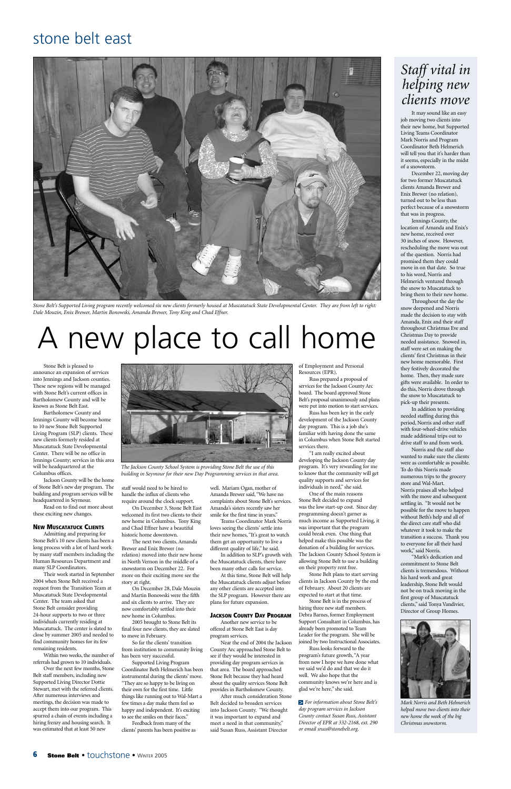## A new place to call home

Stone Belt is pleased to announce an expansion of services into Jennings and Jackson counties. These new regions will be managed with Stone Belt's current offices in Bartholomew County and will be known as Stone Belt East.

Bartholomew County and Jennings County will become home to 10 new Stone Belt Supported Living Program (SLP) clients. These new clients formerly resided at Muscatatuck State Developmental Center. There will be no office in Jennings County; services in this area will be headquartered at the Columbus offices.

Jackson County will be the home of Stone Belt's new day program. The building and program services will be headquartered in Seymour.

Read on to find out more about these exciting new changes.

#### **NEW MUSCATATUCK CLIENTS**

Admitting and preparing for Stone Belt's 10 new clients has been a long process with a lot of hard work by many staff members including the Human Resources Department and many SLP Coordinators.

Their work started in September

2004 when Stone Belt received a request from the Transition Team at Muscatatuck State Developmental Center. The team asked that Stone Belt consider providing 24-hour supports to two or three individuals currently residing at Muscatatuck. The center is slated to close by summer 2005 and needed to find community homes for its few remaining residents.

Within two weeks, the number of referrals had grown to 10 individuals.

Over the next few months, Stone Belt staff members, including new Supported Living Director Dottie Stewart, met with the referred clients. After numerous interviews and meetings, the decision was made to accept them into our program. This spurred a chain of events including a hiring frenzy and housing search. It was estimated that at least 50 new

staff would need to be hired to handle the influx of clients who require around the clock support.

On December 3, Stone Belt East welcomed its first two clients to their new home in Columbus. Tony King and Chad Effner have a beautiful historic home downtown.

The next two clients, Amanda Brewer and Enix Brewer (no relation) moved into their new home in North Vernon in the middle of a snowstorm on December 22. For more on their exciting move see the

story at right.

On December 28, Dale Mouzin and Martin Bonowski were the fifth and six clients to arrive. They are now comfortably settled into their new home in Columbus.

2005 brought to Stone Belt its final four new clients, they are slated to move in February.

So far the clients' transition from institution to community living has been very successful.

Supported Living Program Coordinator Beth Helmerich has been instrumental during the clients' move. "They are so happy to be living on their own for the first time. Little things like running out to Wal-Mart a few times a day make them feel so happy and independent. It's exciting to see the smiles on their faces."

Feedback from many of the clients' parents has been positive as well. Mariam Ogan, mother of Amanda Brewer said, "We have no complaints about Stone Belt's services. Amanda's sisters recently saw her smile for the first time in years."

Teams Coordinator Mark Norris loves seeing the clients' settle into their new homes, "It's great to watch them get an opportunity to live a different quality of life," he said.

In addition to SLP's growth with the Muscatatuck clients, there have been many other calls for service. At this time, Stone Belt will help

the Muscatatuck clients adjust before any other clients are accepted into the SLP program. However there are plans for future expansion.

#### **JACKSON COUNTY DAY PROGRAM**

Another new service to be offered at Stone Belt East is day program services.

Near the end of 2004 the Jackson County Arc approached Stone Belt to see if they would be interested in providing day program services in that area. The board approached Stone Belt because they had heard about the quality services Stone Belt provides in Bartholomew County.

After much consideration Stone Belt decided to broaden services into Jackson County. "We thought it was important to expand and meet a need in that community," said Susan Russ, Assistant Director

of Employment and Personal Resources (EPR).

Russ prepared a proposal of services for the Jackson County Arc board. The board approved Stone Belt's proposal unanimously and plans were put into motion to start services.

Russ has been key in the early development of the Jackson County day program. This is a job she's familiar with having done the same in Columbus when Stone Belt started services there.

"I am really excited about developing the Jackson County day program. It's very rewarding for me to know that the community will get quality supports and services for individuals in need," she said.

One of the main reasons Stone Belt decided to expand was the low start-up cost. Since day programming doesn't garner as much income as Supported Living, it was important that the program could break even. One thing that helped make this possible was the donation of a building for services. The Jackson County School System is allowing Stone Belt to use a building on their property rent free.

Stone Belt plans to start serving

clients in Jackson County by the end of February. About 20 clients are expected to start at that time.

Stone Belt is in the process of hiring three new staff members. Debra Barnes, former Employment Support Consultant in Columbus, has already been promoted to Team Leader for the program. She will be joined by two Instructional Associates.

Russ looks forward to the program's future growth, "A year from now I hope we have done what we said we'd do and that we do it well. We also hope that the community knows we're here and is glad we're here," she said.

*For information about Stone Belt's* >*day program services in Jackson County contact Susan Russ, Assistant Director of EPR at 332-2168, ext. 290 or email sruss@stonebelt.org.*



*Stone Belt's Supported Living program recently welcomed six new clients formerly housed at Muscatatuck State Developmental Center. They are from left to right: Dale Mouzin, Enix Brewer, Martin Bonowski, Amanda Brewer, Tony King and Chad Effner.*

### stone belt east

It may sound like an easy job moving two clients into their new home, but Supported Living Teams Coordinator Mark Norris and Program Coordinator Beth Helmerich will tell you that it's harder than it seems, especially in the midst of a snowstorm.

December 22, moving day for two former Muscatatuck clients Amanda Brewer and Enix Brewer (no relation), turned out to be less than perfect because of a snowstorm that was in progress.

Jennings County, the location of Amanda and Enix's new home, received over 30 inches of snow. However, rescheduling the move was out of the question. Norris had promised them they could move in on that date. So true to his word, Norris and Helmerich ventured through the snow to Muscatatuck to bring them to their new home.

Throughout the day the snow deepened and Norris made the decision to stay with Amanda, Enix and their staff throughout Christmas Eve and Christmas Day to provide needed assistance. Snowed in, staff were set on making the clients' first Christmas in their new home memorable. First they festively decorated the home. Then, they made sure gifts were available. In order to do this, Norris drove through the snow to Muscatatuck to pick-up their presents.

In addition to providing needed staffing during this period, Norris and other staff with four-wheel-drive vehicles made additional trips out to drive staff to and from work.

Norris and the staff also wanted to make sure the clients were as comfortable as possible. To do this Norris made numerous trips to the grocery store and Wal-Mart. Norris praises all who helped with the move and subsequent settling in. "It would not be possible for the move to happen without Beth's help and all of the direct care staff who did whatever it took to make the transition a success. Thank you to everyone for all their hard work," said Norris.

"Mark's dedication and commitment to Stone Belt clients is tremendous. Without his hard work and great leadership, Stone Belt would not be on track moving in the first group of Muscatatuck clients," said Tonya Vandivier, Director of Group Homes.

### *Staff vital in helping new clients move*



*Mark Norris and Beth Helmerich helped move two clients into their new home the week of the big Christmas snowstorm.*



*The Jackson County School System is providing Stone Belt the use of this building in Seymour for their new Day Programming services in that area.*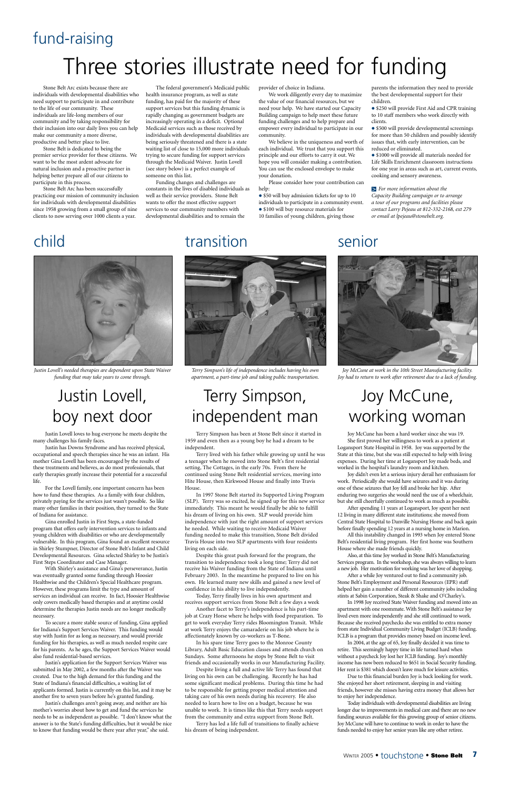Stone Belt Arc exists because there are individuals with developmental disabilities who need support to participate in and contribute to the life of our community. These individuals are life-long members of our community and by taking responsibility for their inclusion into our daily lives you can help make our community a more diverse, productive and better place to live.

Stone Belt is dedicated to being the premier service provider for these citizens. We want to be the most ardent advocate for natural inclusion and a proactive partner in helping better prepare all of our citizens to participate in this process.

Stone Belt Arc has been successfully practicing our mission of community inclusion for individuals with developmental disabilities since 1958 growing from a small group of nine clients to now serving over 1000 clients a year.

The federal government's Medicaid public health insurance program, as well as state funding, has paid for the majority of these support services but this funding dynamic is rapidly changing as government budgets are increasingly operating in a deficit. Optional Medicaid services such as those received by individuals with developmental disabilities are being seriously threatened and there is a state waiting list of close to 15,000 more individuals trying to secure funding for support services through the Medicaid Waiver. Justin Lovell (see story below) is a perfect example of someone on this list.

> • \$50 will buy admission tickets for up to 10 individuals to participate in a community event. • \$100 will buy resource materials for 10 families of young children, giving those

• \$250 will provide First Aid and CPR training to 10 staff members who work directly with clients.

• \$500 will provide developmental screenings for more than 50 children and possibly identify issues that, with early intervention, can be reduced or eliminated.

 $\bullet$  \$1000 will provide all materials needed for Life Skills Enrichment classroom instructions for one year in areas such as art, current events, cooking and sensory awareness.

Funding changes and challenges are constants in the lives of disabled individuals as well as their service providers. Stone Belt wants to offer the most effective support services to our community members with developmental disabilities and to remain the

## fund-raising Three stories illustrate need for funding

provider of choice in Indiana.

We work diligently every day to maximize the value of our financial resources, but we need your help. We have started our Capacity Building campaign to help meet these future funding challenges and to help prepare and empower every individual to participate in our community.

We believe in the uniqueness and worth of each individual. We trust that you support this principle and our efforts to carry it out. We hope you will consider making a contribution. You can use the enclosed envelope to make your donation.

Please consider how your contribution can help:

parents the information they need to provide the best developmental support for their children.

*For more information about the*  >*Capacity Building campaign or to arrange a tour of our programs and facilities please contact Larry Pejeau at 812-332-2168, ext 279 or email at lpejeau@stonebelt.org.*

## child

Justin Lovell loves to hug everyone he meets despite the many challenges his family faces.

Justin has Downs Syndrome and has received physical, occupational and speech therapies since he was an infant. His mother Gina Lovell has been encouraged by the results of these treatments and believes, as do most professionals, that early therapies greatly increase their potential for a successful life.

For the Lovell family, one important concern has been how to fund these therapies. As a family with four children, privately paying for the services just wasn't possible. So like many other families in their position, they turned to the State of Indiana for assistance.

Gina enrolled Justin in First Steps, a state-funded program that offers early intervention services to infants and young children with disabilities or who are developmentally vulnerable. In this program, Gina found an excellent resource in Shirley Stumpner, Director of Stone Belt's Infant and Child Developmental Resources. Gina selected Shirley to be Justin's First Steps Coordinator and Case Manager.

With Shirley's assistance and Gina's perseverance, Justin was eventually granted some funding through Hoosier

Healthwise and the Children's Special Healthcare program. However, these programs limit the type and amount of services an individual can receive. In fact, Hoosier Healthwise only covers medically based therapies and at anytime could determine the therapies Justin needs are no longer medically necessary.

To secure a more stable source of funding, Gina applied for Indiana's Support Services Waiver. This funding would stay with Justin for as long as necessary, and would provide funding for his therapies, as well as much needed respite care for his parents. As he ages, the Support Services Waiver would also fund residential-based services.

Justin's application for the Support Services Waiver was submitted in May 2002, a few months after the Waiver was created. Due to the high demand for this funding and the State of Indiana's financial difficulties, a waiting list of applicants formed. Justin is currently on this list, and it may be another five to seven years before he's granted funding.

Justin's challenges aren't going away, and neither are his mother's worries about how to get and fund the services he needs to be as independent as possible. "I don't know what the answer is to the State's funding difficulties, but it would be nice to know that funding would be there year after year," she said.

## Justin Lovell, boy next door



*Justin Lovell's needed therapies are dependent upon State Waiver funding that may take years to come through.*

### transition

Terry Simpson has been at Stone Belt since it started in 1959 and even then as a young boy he had a dream to be independent.

Terry lived with his father while growing up until he was a teenager when he moved into Stone Belt's first residential setting, The Cottages, in the early 70s. From there he continued using Stone Belt residential services, moving into Hite House, then Kirkwood House and finally into Travis House.

In 1997 Stone Belt started its Supported Living Program (SLP). Terry was so excited, he signed up for this new service immediately. This meant he would finally be able to fulfill his dream of living on his own. SLP would provide him independence with just the right amount of support services he needed. While waiting to receive Medicaid Waiver funding needed to make this transition, Stone Belt divided Travis House into two SLP apartments with four residents living on each side.

Despite this great push forward for the program, the transition to independence took a long time; Terry did not receive his Waiver funding from the State of Indiana until February 2003. In the meantime he prepared to live on his own. He learned many new skills and gained a new level of confidence in his ability to live independently. Today, Terry finally lives in his own apartment and receives support services from Stone Belt a few days a week Another facet to Terry's independence is his part-time job at Crazy Horse where he helps with food preparation. To get to work everyday Terry rides Bloomington Transit. While at work Terry enjoys the camaraderie on his job where he is affectionately known by co-workers as T-Bone. In his spare time Terry goes to the Monroe County Library, Adult Basic Education classes and attends church on Sundays. Some afternoons he stops by Stone Belt to visit friends and occasionally works in our Manufacturing Facility. Despite living a full and active life Terry has found that living on his own can be challenging. Recently he has had some significant medical problems. During this time he had to be responsible for getting proper medical attention and taking care of his own needs during his recovery. He also needed to learn how to live on a budget, because he was unable to work. It is times like this that Terry needs support from the community and extra support from Stone Belt.

Terry has led a life full of transitions to finally achieve his dream of being independent.

## Terry Simpson, independent man



*Terry Simpson's life of independence includes having his own apartment, a part-time job and taking public transportation.*

## senior



Joy McCune has been a hard worker since she was 19. She first proved her willingness to work as a patient at Logansport State Hospital in 1958. Joy was supported by the State at this time, but she was still expected to help with living expenses. During her time at Logansport Joy made beds, and worked in the hospital's laundry room and kitchen.

Joy didn't even let a serious injury derail her enthusiasm for work. Periodically she would have seizures and it was during one of these seizures that Joy fell and broke her hip. After enduring two surgeries she would need the use of a wheelchair, but she still cheerfully continued to work as much as possible.

After spending 11 years at Logansport, Joy spent her next 12 living in many different state institutions; she moved from Central State Hospital to Danville Nursing Home and back again before finally spending 12 years at a nursing home in Marion.

All this instability changed in 1993 when Joy entered Stone Belt's residential living program. Her first home was Southern House where she made friends quickly.

Also, at this time Joy worked in Stone Belt's Manufacturing Services program. In the workshop, she was always willing to learn a new job. Her motivation for working was her love of shopping.

After a while Joy ventured out to find a community job.

Stone Belt's Employment and Personal Resources (EPR) staff helped her gain a number of different community jobs including stints at Sabin Corporation, Steak & Shake and O'Charley's.

In 1998 Joy received State Waiver funding and moved into an apartment with one roommate. With Stone Belt's assistance Joy lived even more independently and she still continued to work. Because she received paychecks she was entitled to extra money from state Individual Community Living Budget (ICLB) funding. ICLB is a program that provides money based on income level.

In 2004, at the age of 65, Joy finally decided it was time to retire. This seemingly happy time in life turned hard when without a paycheck Joy lost her ICLB funding. Joy's monthly income has now been reduced to \$651 in Social Security funding. Her rent is \$381 which doesn't leave much for leisure activities.

Due to this financial burden Joy is back looking for work. She enjoyed her short retirement, sleeping in and visiting friends, however she misses having extra money that allows her to enjoy her independence.

Today individuals with developmental disabilities are living longer due to improvements in medical care and there are no new funding sources available for this growing group of senior citizens. Joy McCune will have to continue to work in order to have the funds needed to enjoy her senior years like any other retiree.

## Joy McCune, working woman

*Joy McCune at work in the 10th Street Manufacturing facility. Joy had to return to work after retirement due to a lack of funding.*